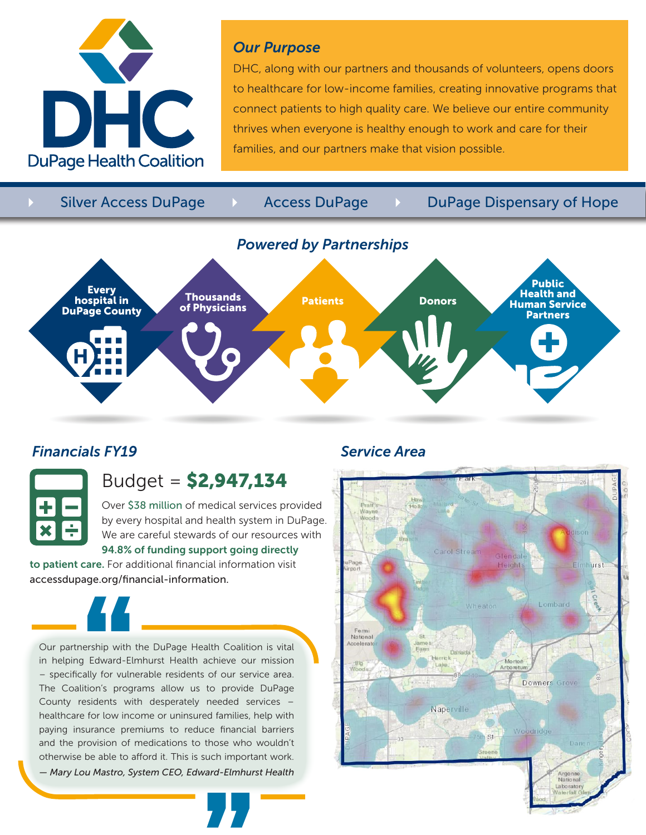

### *Our Purpose*

DHC, along with our partners and thousands of volunteers, opens doors to healthcare for low-income families, creating innovative programs that connect patients to high quality care. We believe our entire community thrives when everyone is healthy enough to work and care for their families, and our partners make that vision possible.

Silver Access DuPage 4 Access DuPage 4 DuPage Dispensary of Hope



## *Financials FY19 Service Area*



# Budget = \$2,947,134

Over \$38 million of medical services provided by every hospital and health system in DuPage. We are careful stewards of our resources with 94.8% of funding support going directly

to patient care. For additional financial information visit accessdupage.org/financial-information.



Our partnership with the DuPage Health Coalition is vital in helping Edward-Elmhurst Health achieve our mission – specifically for vulnerable residents of our service area. The Coalition's programs allow us to provide DuPage County residents with desperately needed services – healthcare for low income or uninsured families, help with paying insurance premiums to reduce financial barriers and the provision of medications to those who wouldn't otherwise be able to afford it. This is such important work.

*— Mary Lou Mastro, System CEO, Edward-Elmhurst Health*